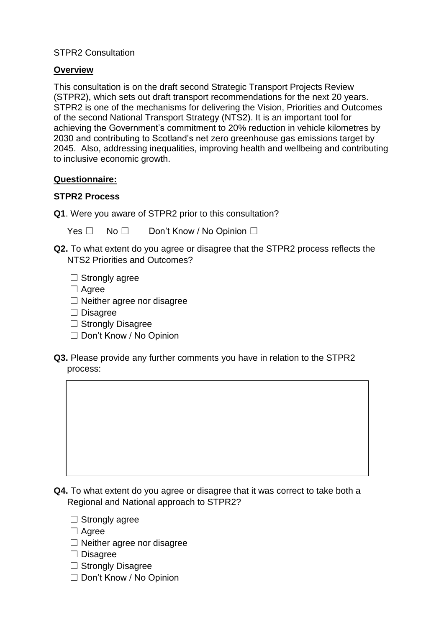## STPR2 Consultation

## **Overview**

This consultation is on the draft second Strategic Transport Projects Review (STPR2), which sets out draft transport recommendations for the next 20 years. STPR2 is one of the mechanisms for delivering the Vision, Priorities and Outcomes of the second National Transport Strategy (NTS2). It is an important tool for achieving the Government's commitment to 20% reduction in vehicle kilometres by 2030 and contributing to Scotland's net zero greenhouse gas emissions target by 2045. Also, addressing inequalities, improving health and wellbeing and contributing to inclusive economic growth.

## **Questionnaire:**

#### **STPR2 Process**

**Q1**. Were you aware of STPR2 prior to this consultation?

Yes □ No □ Don't Know / No Opinion □

- **Q2.** To what extent do you agree or disagree that the STPR2 process reflects the NTS2 Priorities and Outcomes?
	- $\Box$  Strongly agree
	- □ Agree
	- ☐ Neither agree nor disagree
	- ☐ Disagree
	- □ Strongly Disagree
	- ☐ Don't Know / No Opinion
- **Q3.** Please provide any further comments you have in relation to the STPR2 process:



- $\Box$  Strongly agree
- □ Agree
- ☐ Neither agree nor disagree
- ☐ Disagree
- □ Strongly Disagree
- ☐ Don't Know / No Opinion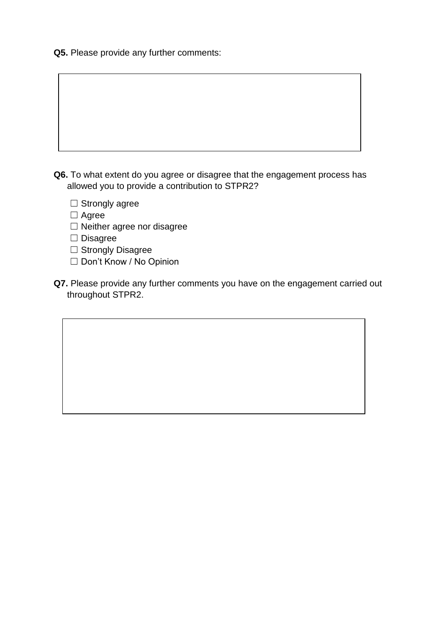**Q5.** Please provide any further comments:

- **Q6.** To what extent do you agree or disagree that the engagement process has allowed you to provide a contribution to STPR2?
	- □ Strongly agree
	- ☐ Agree
	- □ Neither agree nor disagree
	- ☐ Disagree
	- □ Strongly Disagree
	- ☐ Don't Know / No Opinion
- **Q7.** Please provide any further comments you have on the engagement carried out throughout STPR2.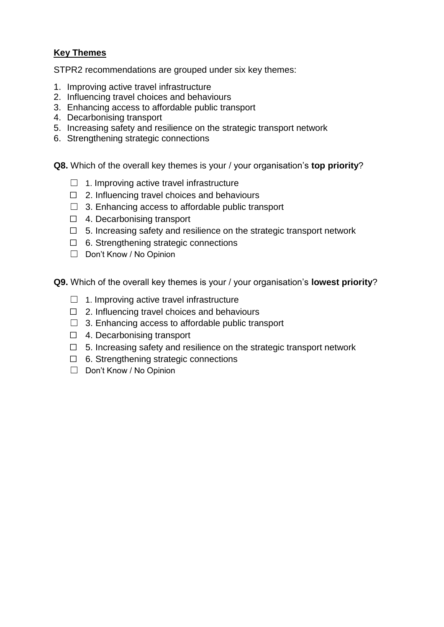# **Key Themes**

STPR2 recommendations are grouped under six key themes:

- 1. Improving active travel infrastructure
- 2. Influencing travel choices and behaviours
- 3. Enhancing access to affordable public transport
- 4. Decarbonising transport
- 5. Increasing safety and resilience on the strategic transport network
- 6. Strengthening strategic connections

**Q8.** Which of the overall key themes is your / your organisation's **top priority**?

- $\Box$  1. Improving active travel infrastructure
- $\Box$  2. Influencing travel choices and behaviours
- $\Box$  3. Enhancing access to affordable public transport
- ☐ 4. Decarbonising transport
- $\Box$  5. Increasing safety and resilience on the strategic transport network
- ☐ 6. Strengthening strategic connections
- ☐ Don't Know / No Opinion
- **Q9.** Which of the overall key themes is your / your organisation's **lowest priority**?
	- $\Box$  1. Improving active travel infrastructure
	- ☐ 2. Influencing travel choices and behaviours
	- ☐ 3. Enhancing access to affordable public transport
	- ☐ 4. Decarbonising transport
	- ☐ 5. Increasing safety and resilience on the strategic transport network
	- ☐ 6. Strengthening strategic connections
	- ☐ Don't Know / No Opinion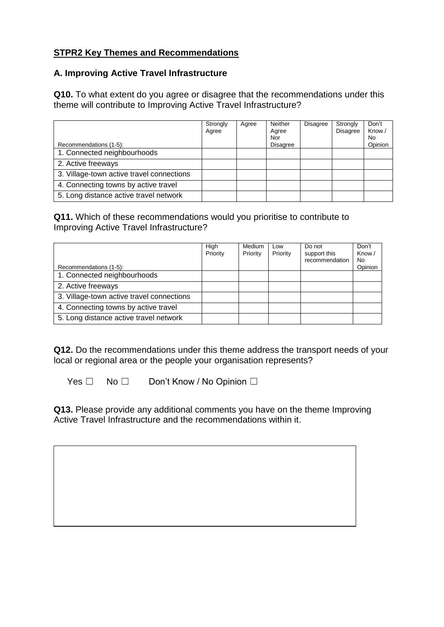# **STPR2 Key Themes and Recommendations**

#### **A. Improving Active Travel Infrastructure**

**Q10.** To what extent do you agree or disagree that the recommendations under this theme will contribute to Improving Active Travel Infrastructure?

|                                           | Strongly<br>Agree | Agree | Neither<br>Agree<br>Nor | <b>Disagree</b> | Strongly<br><b>Disagree</b> | Don't<br>Know/<br>No. |
|-------------------------------------------|-------------------|-------|-------------------------|-----------------|-----------------------------|-----------------------|
| Recommendations (1-5):                    |                   |       | <b>Disagree</b>         |                 |                             | Opinion               |
| 1. Connected neighbourhoods               |                   |       |                         |                 |                             |                       |
| 2. Active freeways                        |                   |       |                         |                 |                             |                       |
| 3. Village-town active travel connections |                   |       |                         |                 |                             |                       |
| 4. Connecting towns by active travel      |                   |       |                         |                 |                             |                       |
| 5. Long distance active travel network    |                   |       |                         |                 |                             |                       |

## **Q11.** Which of these recommendations would you prioritise to contribute to Improving Active Travel Infrastructure?

| Recommendations (1-5):                    | High<br>Priority | Medium<br>Priority | Low<br>Priority | Do not<br>support this<br>recommendation | Don't<br>Know/<br>No.<br>Opinion |
|-------------------------------------------|------------------|--------------------|-----------------|------------------------------------------|----------------------------------|
| 1. Connected neighbourhoods               |                  |                    |                 |                                          |                                  |
| 2. Active freeways                        |                  |                    |                 |                                          |                                  |
| 3. Village-town active travel connections |                  |                    |                 |                                          |                                  |
| 4. Connecting towns by active travel      |                  |                    |                 |                                          |                                  |
| 5. Long distance active travel network    |                  |                    |                 |                                          |                                  |

**Q12.** Do the recommendations under this theme address the transport needs of your local or regional area or the people your organisation represents?

Yes □ No □ Don't Know / No Opinion □

**Q13.** Please provide any additional comments you have on the theme Improving Active Travel Infrastructure and the recommendations within it.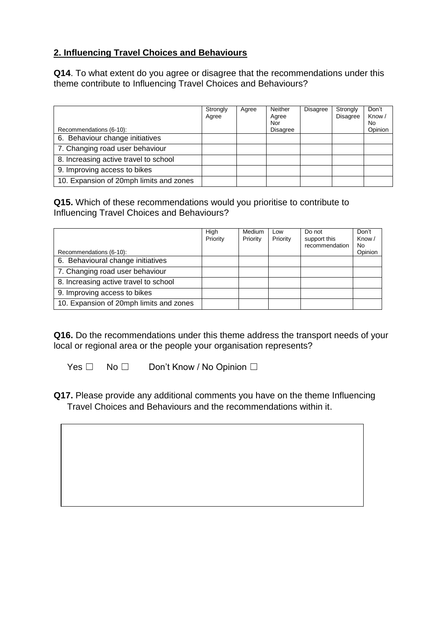# **2. Influencing Travel Choices and Behaviours**

**Q14**. To what extent do you agree or disagree that the recommendations under this theme contribute to Influencing Travel Choices and Behaviours?

|                                         | Strongly<br>Agree | Agree | Neither<br>Agree<br>Nor | <b>Disagree</b> | Strongly<br><b>Disagree</b> | Don't<br>Know/<br>No. |
|-----------------------------------------|-------------------|-------|-------------------------|-----------------|-----------------------------|-----------------------|
| Recommendations (6-10):                 |                   |       | <b>Disagree</b>         |                 |                             | Opinion               |
| 6. Behaviour change initiatives         |                   |       |                         |                 |                             |                       |
| 7. Changing road user behaviour         |                   |       |                         |                 |                             |                       |
| 8. Increasing active travel to school   |                   |       |                         |                 |                             |                       |
| 9. Improving access to bikes            |                   |       |                         |                 |                             |                       |
| 10. Expansion of 20mph limits and zones |                   |       |                         |                 |                             |                       |

**Q15.** Which of these recommendations would you prioritise to contribute to Influencing Travel Choices and Behaviours?

| Recommendations (6-10):                 | High<br>Priority | Medium<br>Priority | Low<br>Priority | Do not<br>support this<br>recommendation | Don't<br>Know/<br>No.<br>Opinion |
|-----------------------------------------|------------------|--------------------|-----------------|------------------------------------------|----------------------------------|
| 6. Behavioural change initiatives       |                  |                    |                 |                                          |                                  |
| 7. Changing road user behaviour         |                  |                    |                 |                                          |                                  |
| 8. Increasing active travel to school   |                  |                    |                 |                                          |                                  |
| 9. Improving access to bikes            |                  |                    |                 |                                          |                                  |
| 10. Expansion of 20mph limits and zones |                  |                    |                 |                                          |                                  |

**Q16.** Do the recommendations under this theme address the transport needs of your local or regional area or the people your organisation represents?

Yes □ No □ Don't Know / No Opinion □

**Q17.** Please provide any additional comments you have on the theme Influencing Travel Choices and Behaviours and the recommendations within it.

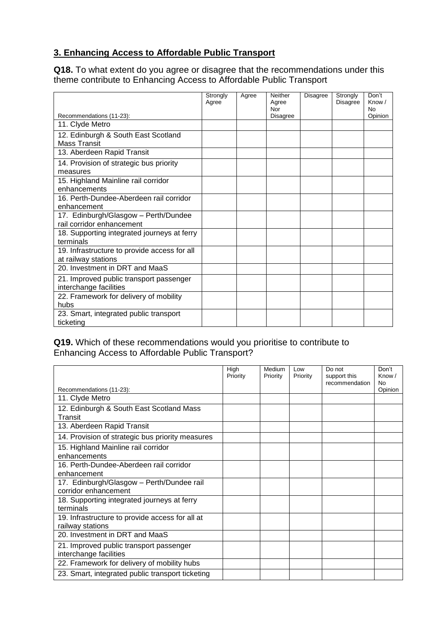# **3. Enhancing Access to Affordable Public Transport**

**Q18.** To what extent do you agree or disagree that the recommendations under this theme contribute to Enhancing Access to Affordable Public Transport

|                                                                     | Strongly<br>Agree | Agree | Neither<br>Agree<br>Nor | <b>Disagree</b> | Strongly<br><b>Disagree</b> | Don't<br>Know /<br><b>No</b> |
|---------------------------------------------------------------------|-------------------|-------|-------------------------|-----------------|-----------------------------|------------------------------|
| Recommendations (11-23):                                            |                   |       | <b>Disagree</b>         |                 |                             | Opinion                      |
| 11. Clyde Metro                                                     |                   |       |                         |                 |                             |                              |
| 12. Edinburgh & South East Scotland<br><b>Mass Transit</b>          |                   |       |                         |                 |                             |                              |
| 13. Aberdeen Rapid Transit                                          |                   |       |                         |                 |                             |                              |
| 14. Provision of strategic bus priority<br>measures                 |                   |       |                         |                 |                             |                              |
| 15. Highland Mainline rail corridor<br>enhancements                 |                   |       |                         |                 |                             |                              |
| 16. Perth-Dundee-Aberdeen rail corridor<br>enhancement              |                   |       |                         |                 |                             |                              |
| 17. Edinburgh/Glasgow - Perth/Dundee<br>rail corridor enhancement   |                   |       |                         |                 |                             |                              |
| 18. Supporting integrated journeys at ferry<br>terminals            |                   |       |                         |                 |                             |                              |
| 19. Infrastructure to provide access for all<br>at railway stations |                   |       |                         |                 |                             |                              |
| 20. Investment in DRT and MaaS                                      |                   |       |                         |                 |                             |                              |
| 21. Improved public transport passenger<br>interchange facilities   |                   |       |                         |                 |                             |                              |
| 22. Framework for delivery of mobility<br>hubs                      |                   |       |                         |                 |                             |                              |
| 23. Smart, integrated public transport<br>ticketing                 |                   |       |                         |                 |                             |                              |

## **Q19.** Which of these recommendations would you prioritise to contribute to Enhancing Access to Affordable Public Transport?

|                                                                     | High<br>Priority | Medium<br>Priority | Low<br>Priority | Do not<br>support this<br>recommendation | Don't<br>Know $/$<br><b>No</b> |
|---------------------------------------------------------------------|------------------|--------------------|-----------------|------------------------------------------|--------------------------------|
| Recommendations (11-23):                                            |                  |                    |                 |                                          | Opinion                        |
| 11. Clyde Metro                                                     |                  |                    |                 |                                          |                                |
| 12. Edinburgh & South East Scotland Mass<br>Transit                 |                  |                    |                 |                                          |                                |
| 13. Aberdeen Rapid Transit                                          |                  |                    |                 |                                          |                                |
| 14. Provision of strategic bus priority measures                    |                  |                    |                 |                                          |                                |
| 15. Highland Mainline rail corridor<br>enhancements                 |                  |                    |                 |                                          |                                |
| 16. Perth-Dundee-Aberdeen rail corridor<br>enhancement              |                  |                    |                 |                                          |                                |
| 17. Edinburgh/Glasgow - Perth/Dundee rail<br>corridor enhancement   |                  |                    |                 |                                          |                                |
| 18. Supporting integrated journeys at ferry<br>terminals            |                  |                    |                 |                                          |                                |
| 19. Infrastructure to provide access for all at<br>railway stations |                  |                    |                 |                                          |                                |
| 20. Investment in DRT and MaaS                                      |                  |                    |                 |                                          |                                |
| 21. Improved public transport passenger<br>interchange facilities   |                  |                    |                 |                                          |                                |
| 22. Framework for delivery of mobility hubs                         |                  |                    |                 |                                          |                                |
| 23. Smart, integrated public transport ticketing                    |                  |                    |                 |                                          |                                |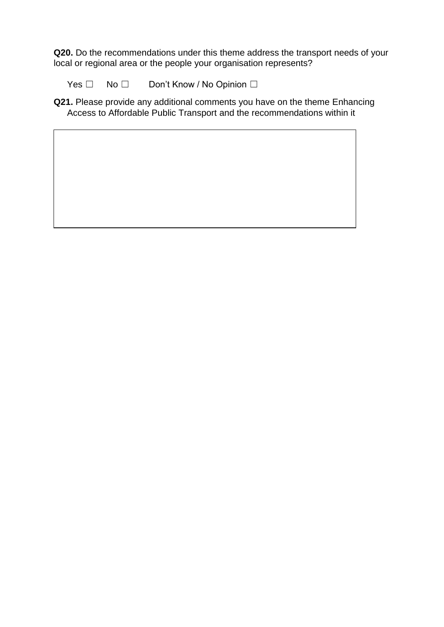**Q20.** Do the recommendations under this theme address the transport needs of your local or regional area or the people your organisation represents?

Yes □ No □ Don't Know / No Opinion □

**Q21.** Please provide any additional comments you have on the theme Enhancing Access to Affordable Public Transport and the recommendations within it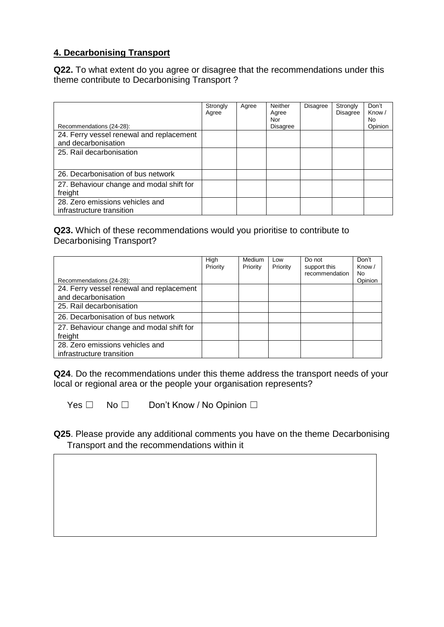# **4. Decarbonising Transport**

**Q22.** To what extent do you agree or disagree that the recommendations under this theme contribute to Decarbonising Transport ?

|                                                              | Strongly<br>Agree | Agree | <b>Neither</b><br>Agree<br>Nor | <b>Disagree</b> | Strongly<br><b>Disagree</b> | Don't<br>Know/<br>No. |
|--------------------------------------------------------------|-------------------|-------|--------------------------------|-----------------|-----------------------------|-----------------------|
| Recommendations (24-28):                                     |                   |       | <b>Disagree</b>                |                 |                             | Opinion               |
| 24. Ferry vessel renewal and replacement                     |                   |       |                                |                 |                             |                       |
| and decarbonisation                                          |                   |       |                                |                 |                             |                       |
| 25. Rail decarbonisation                                     |                   |       |                                |                 |                             |                       |
| 26. Decarbonisation of bus network                           |                   |       |                                |                 |                             |                       |
| 27. Behaviour change and modal shift for<br>freight          |                   |       |                                |                 |                             |                       |
| 28. Zero emissions vehicles and<br>infrastructure transition |                   |       |                                |                 |                             |                       |

# **Q23.** Which of these recommendations would you prioritise to contribute to Decarbonising Transport?

| Recommendations (24-28):                                        | High<br>Priority | Medium<br>Priority | Low<br>Priority | Do not<br>support this<br>recommendation | Don't<br>Know /<br>No.<br>Opinion |
|-----------------------------------------------------------------|------------------|--------------------|-----------------|------------------------------------------|-----------------------------------|
| 24. Ferry vessel renewal and replacement<br>and decarbonisation |                  |                    |                 |                                          |                                   |
| 25. Rail decarbonisation                                        |                  |                    |                 |                                          |                                   |
| 26. Decarbonisation of bus network                              |                  |                    |                 |                                          |                                   |
| 27. Behaviour change and modal shift for<br>freight             |                  |                    |                 |                                          |                                   |
| 28. Zero emissions vehicles and<br>infrastructure transition    |                  |                    |                 |                                          |                                   |

**Q24**. Do the recommendations under this theme address the transport needs of your local or regional area or the people your organisation represents?

Yes □ No □ Don't Know / No Opinion □

**Q25**. Please provide any additional comments you have on the theme Decarbonising Transport and the recommendations within it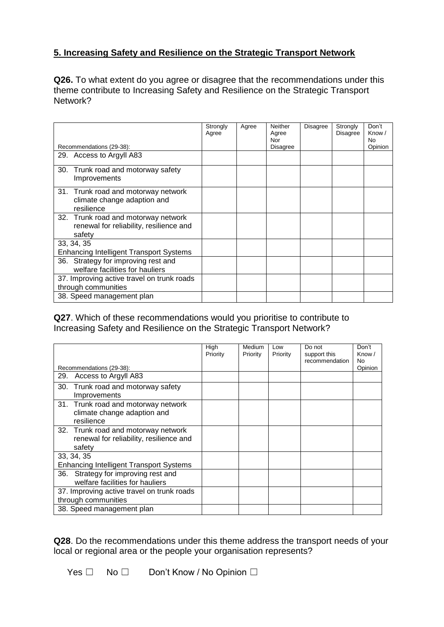# **5. Increasing Safety and Resilience on the Strategic Transport Network**

**Q26.** To what extent do you agree or disagree that the recommendations under this theme contribute to Increasing Safety and Resilience on the Strategic Transport Network?

|                                                                                          | Strongly<br>Agree | Agree | Neither<br>Agree<br>Nor | <b>Disagree</b> | Strongly<br><b>Disagree</b> | Don't<br>Know/<br>No. |
|------------------------------------------------------------------------------------------|-------------------|-------|-------------------------|-----------------|-----------------------------|-----------------------|
| Recommendations (29-38):                                                                 |                   |       | <b>Disagree</b>         |                 |                             | Opinion               |
| 29. Access to Argyll A83                                                                 |                   |       |                         |                 |                             |                       |
| 30.<br>Trunk road and motorway safety<br>Improvements                                    |                   |       |                         |                 |                             |                       |
| 31. Trunk road and motorway network<br>climate change adaption and<br>resilience         |                   |       |                         |                 |                             |                       |
| 32. Trunk road and motorway network<br>renewal for reliability, resilience and<br>safety |                   |       |                         |                 |                             |                       |
| 33, 34, 35                                                                               |                   |       |                         |                 |                             |                       |
| <b>Enhancing Intelligent Transport Systems</b>                                           |                   |       |                         |                 |                             |                       |
| Strategy for improving rest and<br>36.<br>welfare facilities for hauliers                |                   |       |                         |                 |                             |                       |
| 37. Improving active travel on trunk roads<br>through communities                        |                   |       |                         |                 |                             |                       |
| 38. Speed management plan                                                                |                   |       |                         |                 |                             |                       |

**Q27**. Which of these recommendations would you prioritise to contribute to Increasing Safety and Resilience on the Strategic Transport Network?

|                                                                                          | High<br>Priority | Medium<br>Priority | l ow<br>Priority | Do not<br>support this | Don't<br>Know /<br>N <sub>0</sub> |
|------------------------------------------------------------------------------------------|------------------|--------------------|------------------|------------------------|-----------------------------------|
| Recommendations (29-38):                                                                 |                  |                    |                  | recommendation         | Opinion                           |
| Access to Argyll A83<br>29.                                                              |                  |                    |                  |                        |                                   |
| 30. Trunk road and motorway safety<br>Improvements                                       |                  |                    |                  |                        |                                   |
| 31. Trunk road and motorway network<br>climate change adaption and<br>resilience         |                  |                    |                  |                        |                                   |
| 32. Trunk road and motorway network<br>renewal for reliability, resilience and<br>safety |                  |                    |                  |                        |                                   |
| 33, 34, 35                                                                               |                  |                    |                  |                        |                                   |
| <b>Enhancing Intelligent Transport Systems</b>                                           |                  |                    |                  |                        |                                   |
| Strategy for improving rest and<br>36.<br>welfare facilities for hauliers                |                  |                    |                  |                        |                                   |
| 37. Improving active travel on trunk roads<br>through communities                        |                  |                    |                  |                        |                                   |
| 38. Speed management plan                                                                |                  |                    |                  |                        |                                   |

**Q28**. Do the recommendations under this theme address the transport needs of your local or regional area or the people your organisation represents?

Yes □ No □ Don't Know / No Opinion □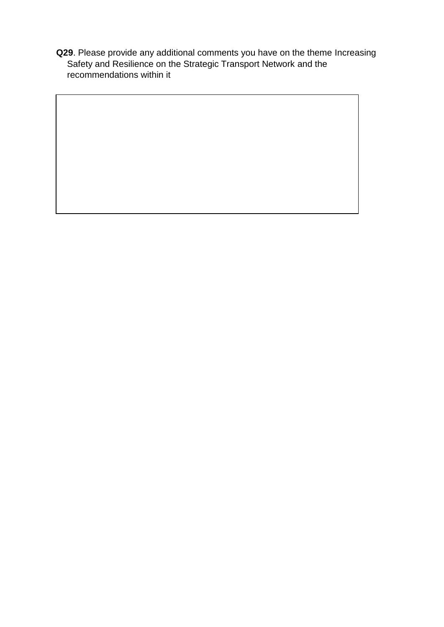**Q29**. Please provide any additional comments you have on the theme Increasing Safety and Resilience on the Strategic Transport Network and the recommendations within it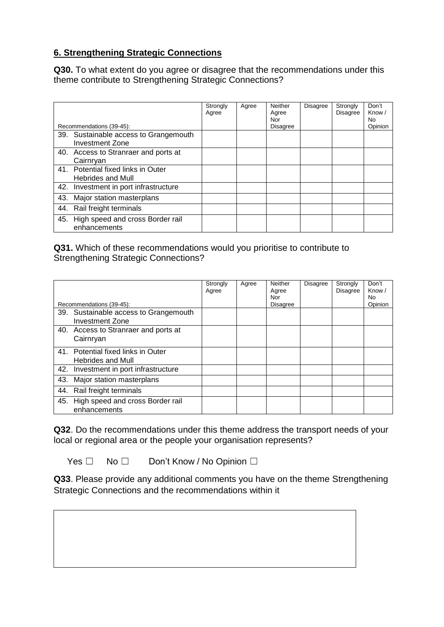# **6. Strengthening Strategic Connections**

**Q30.** To what extent do you agree or disagree that the recommendations under this theme contribute to Strengthening Strategic Connections?

|     | Recommendations (39-45):                                    | Strongly<br>Agree | Agree | <b>Neither</b><br>Agree<br>Nor<br>Disagree | <b>Disagree</b> | Strongly<br><b>Disagree</b> | Don't<br>Know /<br>No.<br>Opinion |
|-----|-------------------------------------------------------------|-------------------|-------|--------------------------------------------|-----------------|-----------------------------|-----------------------------------|
| 39. | Sustainable access to Grangemouth<br><b>Investment Zone</b> |                   |       |                                            |                 |                             |                                   |
| 40. | Access to Stranraer and ports at<br>Cairnryan               |                   |       |                                            |                 |                             |                                   |
| 41. | Potential fixed links in Outer<br><b>Hebrides and Mull</b>  |                   |       |                                            |                 |                             |                                   |
| 42. | Investment in port infrastructure                           |                   |       |                                            |                 |                             |                                   |
| 43. | Major station masterplans                                   |                   |       |                                            |                 |                             |                                   |
| 44. | Rail freight terminals                                      |                   |       |                                            |                 |                             |                                   |
| 45. | High speed and cross Border rail<br>enhancements            |                   |       |                                            |                 |                             |                                   |

**Q31.** Which of these recommendations would you prioritise to contribute to Strengthening Strategic Connections?

|     | Recommendations (39-45):                                        | Strongly<br>Agree | Agree | <b>Neither</b><br>Agree<br>Nor<br><b>Disagree</b> | <b>Disagree</b> | Strongly<br><b>Disagree</b> | Don't<br>Know /<br>No.<br>Opinion |
|-----|-----------------------------------------------------------------|-------------------|-------|---------------------------------------------------|-----------------|-----------------------------|-----------------------------------|
|     | 39. Sustainable access to Grangemouth<br><b>Investment Zone</b> |                   |       |                                                   |                 |                             |                                   |
|     | 40. Access to Stranraer and ports at<br>Cairnryan               |                   |       |                                                   |                 |                             |                                   |
|     | 41. Potential fixed links in Outer<br><b>Hebrides and Mull</b>  |                   |       |                                                   |                 |                             |                                   |
| 42. | Investment in port infrastructure                               |                   |       |                                                   |                 |                             |                                   |
| 43. | Major station masterplans                                       |                   |       |                                                   |                 |                             |                                   |
|     | 44. Rail freight terminals                                      |                   |       |                                                   |                 |                             |                                   |
|     | 45. High speed and cross Border rail<br>enhancements            |                   |       |                                                   |                 |                             |                                   |

**Q32**. Do the recommendations under this theme address the transport needs of your local or regional area or the people your organisation represents?

Yes □ No □ Don't Know / No Opinion □

**Q33**. Please provide any additional comments you have on the theme Strengthening Strategic Connections and the recommendations within it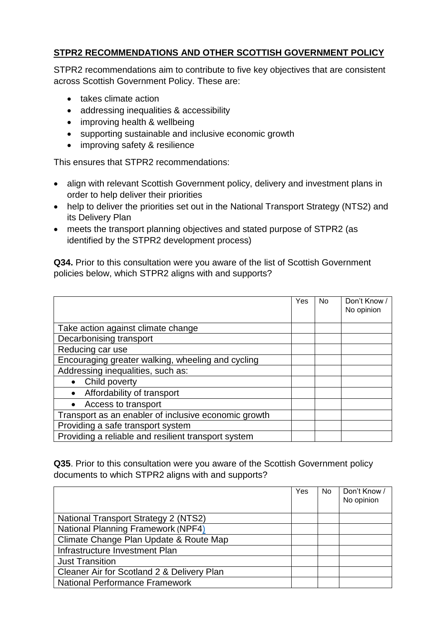# **STPR2 RECOMMENDATIONS AND OTHER SCOTTISH GOVERNMENT POLICY**

STPR2 recommendations aim to contribute to five key objectives that are consistent across Scottish Government Policy. These are:

- takes climate action
- addressing inequalities & accessibility
- improving health & wellbeing
- supporting sustainable and inclusive economic growth
- improving safety & resilience

This ensures that STPR2 recommendations:

- align with relevant Scottish Government policy, delivery and investment plans in order to help deliver their priorities
- help to deliver the priorities set out in the National Transport Strategy (NTS2) and its Delivery Plan
- meets the transport planning objectives and stated purpose of STPR2 (as identified by the STPR2 development process)

**Q34.** Prior to this consultation were you aware of the list of Scottish Government policies below, which STPR2 aligns with and supports?

|                                                      | Yes | No. | Don't Know /<br>No opinion |
|------------------------------------------------------|-----|-----|----------------------------|
|                                                      |     |     |                            |
| Take action against climate change                   |     |     |                            |
| Decarbonising transport                              |     |     |                            |
| Reducing car use                                     |     |     |                            |
| Encouraging greater walking, wheeling and cycling    |     |     |                            |
| Addressing inequalities, such as:                    |     |     |                            |
| Child poverty<br>$\bullet$                           |     |     |                            |
| Affordability of transport<br>$\bullet$              |     |     |                            |
| Access to transport<br>$\bullet$                     |     |     |                            |
| Transport as an enabler of inclusive economic growth |     |     |                            |
| Providing a safe transport system                    |     |     |                            |
| Providing a reliable and resilient transport system  |     |     |                            |

**Q35**. Prior to this consultation were you aware of the Scottish Government policy documents to which STPR2 aligns with and supports?

|                                             | Yes | No. | Don't Know /<br>No opinion |
|---------------------------------------------|-----|-----|----------------------------|
| <b>National Transport Strategy 2 (NTS2)</b> |     |     |                            |
| <b>National Planning Framework (NPF4)</b>   |     |     |                            |
| Climate Change Plan Update & Route Map      |     |     |                            |
| Infrastructure Investment Plan              |     |     |                            |
| <b>Just Transition</b>                      |     |     |                            |
| Cleaner Air for Scotland 2 & Delivery Plan  |     |     |                            |
| <b>National Performance Framework</b>       |     |     |                            |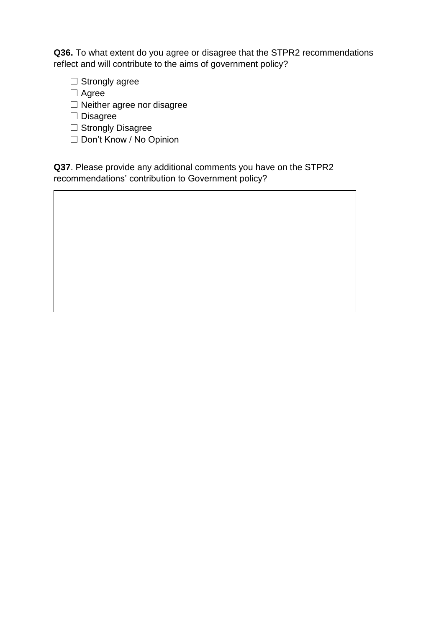**Q36.** To what extent do you agree or disagree that the STPR2 recommendations reflect and will contribute to the aims of government policy?

- □ Strongly agree
- ☐ Agree
- ☐ Neither agree nor disagree
- ☐ Disagree
- □ Strongly Disagree
- ☐ Don't Know / No Opinion

**Q37**. Please provide any additional comments you have on the STPR2 recommendations' contribution to Government policy?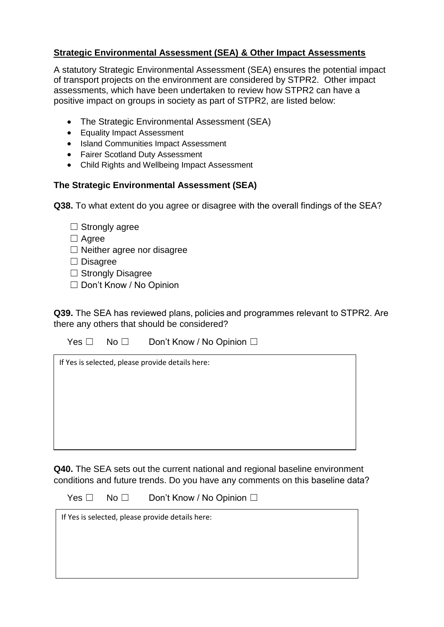# **Strategic Environmental Assessment (SEA) & Other Impact Assessments**

A statutory Strategic Environmental Assessment (SEA) ensures the potential impact of transport projects on the environment are considered by STPR2. Other impact assessments, which have been undertaken to review how STPR2 can have a positive impact on groups in society as part of STPR2, are listed below:

- The Strategic Environmental Assessment (SEA)
- Equality Impact Assessment
- Island Communities Impact Assessment
- Fairer Scotland Duty Assessment
- Child Rights and Wellbeing Impact Assessment

## **The Strategic Environmental Assessment (SEA)**

**Q38.** To what extent do you agree or disagree with the overall findings of the SEA?  

| $\Box$ Strongly agree             |
|-----------------------------------|
| $\Box$ Agree                      |
| $\Box$ Neither agree nor disagree |

- ☐ Disagree
- □ Strongly Disagree
- ☐ Don't Know / No Opinion

**Q39.** The SEA has reviewed plans, policies and programmes relevant to STPR2. Are there any others that should be considered?

Yes □ No □ Don't Know / No Opinion □

| If Yes is selected, please provide details here: |  |  |
|--------------------------------------------------|--|--|
|                                                  |  |  |
|                                                  |  |  |
|                                                  |  |  |
|                                                  |  |  |
|                                                  |  |  |

**Q40.** The SEA sets out the current national and regional baseline environment conditions and future trends. Do you have any comments on this baseline data? 

Yes □ No □ Don't Know / No Opinion □

| If Yes is selected, please provide details here: |  |  |
|--------------------------------------------------|--|--|
|                                                  |  |  |
|                                                  |  |  |
|                                                  |  |  |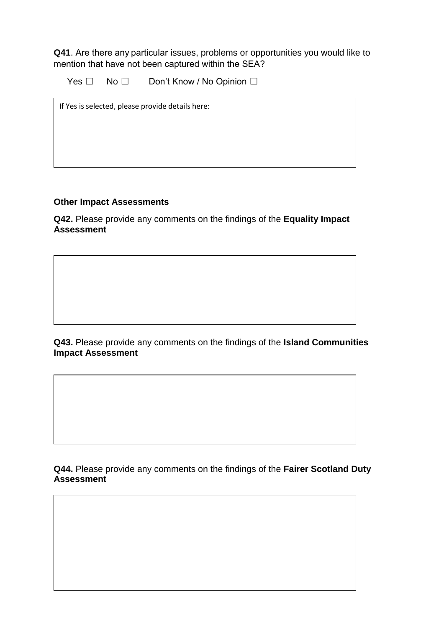**Q41**. Are there any particular issues, problems or opportunities you would like to mention that have not been captured within the SEA? 

Yes □ No □ Don't Know / No Opinion □

If Yes is selected, please provide details here:

#### **Other Impact Assessments**

**Q42.** Please provide any comments on the findings of the **Equality Impact Assessment** 

**Q43.** Please provide any comments on the findings of the **Island Communities Impact Assessment**

**Q44.** Please provide any comments on the findings of the **Fairer Scotland Duty Assessment**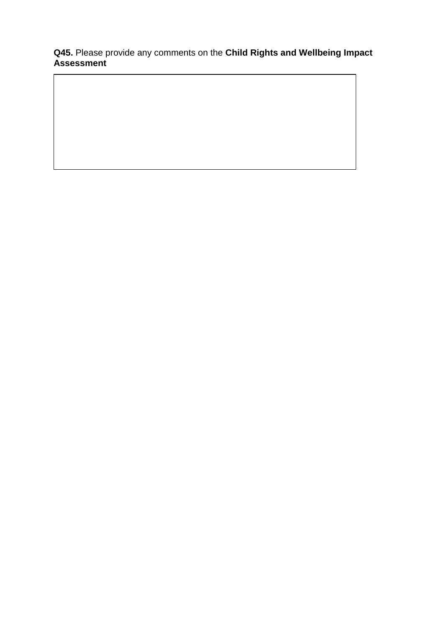**Q45.** Please provide any comments on the **Child Rights and Wellbeing Impact Assessment**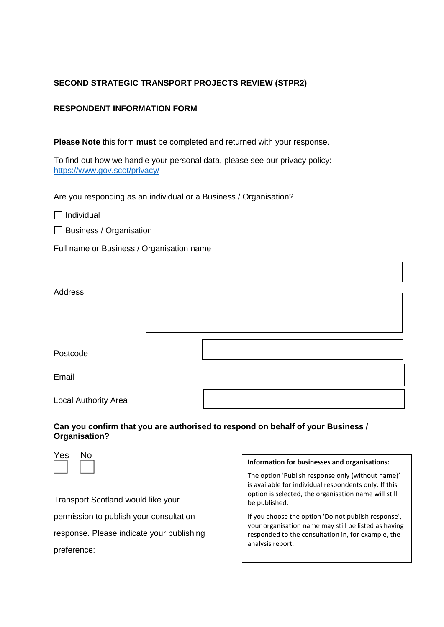#### **SECOND STRATEGIC TRANSPORT PROJECTS REVIEW (STPR2)**

#### **RESPONDENT INFORMATION FORM**

**Please Note** this form **must** be completed and returned with your response.

To find out how we handle your personal data, please see our privacy policy: <https://www.gov.scot/privacy/>

Are you responding as an individual or a Business / Organisation?

 $\Box$  Individual

 $\Box$  Business / Organisation

Full name or Business / Organisation name

| Address              |  |  |
|----------------------|--|--|
| Postcode             |  |  |
| Email                |  |  |
| Local Authority Area |  |  |

#### **Can you confirm that you are authorised to respond on behalf of your Business / Organisation?**



Transport Scotland would like your permission to publish your consultation response. Please indicate your publishing preference:

#### **Information for businesses and organisations:**

The option 'Publish response only (without name)' is available for individual respondents only. If this option is selected, the organisation name will still be published.

If you choose the option 'Do not publish response', your organisation name may still be listed as having responded to the consultation in, for example, the analysis report.